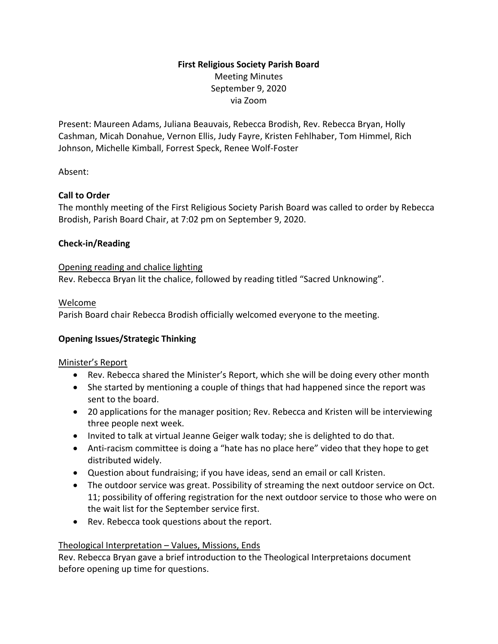# **First Religious Society Parish Board** Meeting Minutes September 9, 2020 via Zoom

Present: Maureen Adams, Juliana Beauvais, Rebecca Brodish, Rev. Rebecca Bryan, Holly Cashman, Micah Donahue, Vernon Ellis, Judy Fayre, Kristen Fehlhaber, Tom Himmel, Rich Johnson, Michelle Kimball, Forrest Speck, Renee Wolf-Foster

Absent:

# **Call to Order**

The monthly meeting of the First Religious Society Parish Board was called to order by Rebecca Brodish, Parish Board Chair, at 7:02 pm on September 9, 2020.

# **Check-in/Reading**

#### Opening reading and chalice lighting

Rev. Rebecca Bryan lit the chalice, followed by reading titled "Sacred Unknowing".

### Welcome

Parish Board chair Rebecca Brodish officially welcomed everyone to the meeting.

### **Opening Issues/Strategic Thinking**

### Minister's Report

- Rev. Rebecca shared the Minister's Report, which she will be doing every other month
- She started by mentioning a couple of things that had happened since the report was sent to the board.
- 20 applications for the manager position; Rev. Rebecca and Kristen will be interviewing three people next week.
- Invited to talk at virtual Jeanne Geiger walk today; she is delighted to do that.
- Anti-racism committee is doing a "hate has no place here" video that they hope to get distributed widely.
- Question about fundraising; if you have ideas, send an email or call Kristen.
- The outdoor service was great. Possibility of streaming the next outdoor service on Oct. 11; possibility of offering registration for the next outdoor service to those who were on the wait list for the September service first.
- Rev. Rebecca took questions about the report.

### Theological Interpretation – Values, Missions, Ends

Rev. Rebecca Bryan gave a brief introduction to the Theological Interpretaions document before opening up time for questions.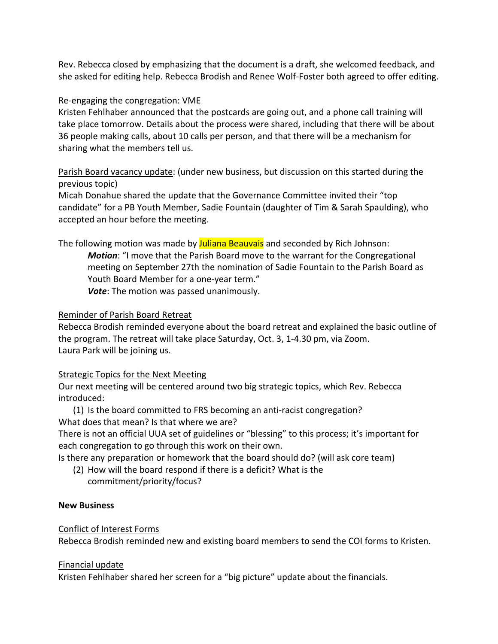Rev. Rebecca closed by emphasizing that the document is a draft, she welcomed feedback, and she asked for editing help. Rebecca Brodish and Renee Wolf-Foster both agreed to offer editing.

#### Re-engaging the congregation: VME

Kristen Fehlhaber announced that the postcards are going out, and a phone call training will take place tomorrow. Details about the process were shared, including that there will be about 36 people making calls, about 10 calls per person, and that there will be a mechanism for sharing what the members tell us.

Parish Board vacancy update: (under new business, but discussion on this started during the previous topic)

Micah Donahue shared the update that the Governance Committee invited their "top candidate" for a PB Youth Member, Sadie Fountain (daughter of Tim & Sarah Spaulding), who accepted an hour before the meeting.

The following motion was made by Juliana Beauvais and seconded by Rich Johnson:

*Motion*: "I move that the Parish Board move to the warrant for the Congregational meeting on September 27th the nomination of Sadie Fountain to the Parish Board as Youth Board Member for a one-year term."

*Vote*: The motion was passed unanimously.

#### Reminder of Parish Board Retreat

Rebecca Brodish reminded everyone about the board retreat and explained the basic outline of the program. The retreat will take place Saturday, Oct. 3, 1-4.30 pm, via Zoom. Laura Park will be joining us.

### Strategic Topics for the Next Meeting

Our next meeting will be centered around two big strategic topics, which Rev. Rebecca introduced:

(1) Is the board committed to FRS becoming an anti-racist congregation? What does that mean? Is that where we are?

There is not an official UUA set of guidelines or "blessing" to this process; it's important for each congregation to go through this work on their own.

Is there any preparation or homework that the board should do? (will ask core team)

(2) How will the board respond if there is a deficit? What is the commitment/priority/focus?

#### **New Business**

### Conflict of Interest Forms

Rebecca Brodish reminded new and existing board members to send the COI forms to Kristen.

#### Financial update

Kristen Fehlhaber shared her screen for a "big picture" update about the financials.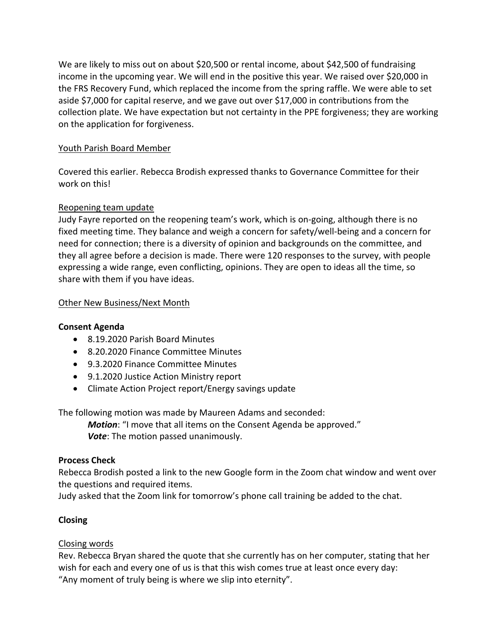We are likely to miss out on about \$20,500 or rental income, about \$42,500 of fundraising income in the upcoming year. We will end in the positive this year. We raised over \$20,000 in the FRS Recovery Fund, which replaced the income from the spring raffle. We were able to set aside \$7,000 for capital reserve, and we gave out over \$17,000 in contributions from the collection plate. We have expectation but not certainty in the PPE forgiveness; they are working on the application for forgiveness.

### Youth Parish Board Member

Covered this earlier. Rebecca Brodish expressed thanks to Governance Committee for their work on this!

#### Reopening team update

Judy Fayre reported on the reopening team's work, which is on-going, although there is no fixed meeting time. They balance and weigh a concern for safety/well-being and a concern for need for connection; there is a diversity of opinion and backgrounds on the committee, and they all agree before a decision is made. There were 120 responses to the survey, with people expressing a wide range, even conflicting, opinions. They are open to ideas all the time, so share with them if you have ideas.

#### Other New Business/Next Month

#### **Consent Agenda**

- 8.19.2020 Parish Board Minutes
- 8.20.2020 Finance Committee Minutes
- 9.3.2020 Finance Committee Minutes
- 9.1.2020 Justice Action Ministry report
- Climate Action Project report/Energy savings update

The following motion was made by Maureen Adams and seconded:

*Motion*: "I move that all items on the Consent Agenda be approved." *Vote*: The motion passed unanimously.

### **Process Check**

Rebecca Brodish posted a link to the new Google form in the Zoom chat window and went over the questions and required items.

Judy asked that the Zoom link for tomorrow's phone call training be added to the chat.

### **Closing**

### Closing words

Rev. Rebecca Bryan shared the quote that she currently has on her computer, stating that her wish for each and every one of us is that this wish comes true at least once every day: "Any moment of truly being is where we slip into eternity".